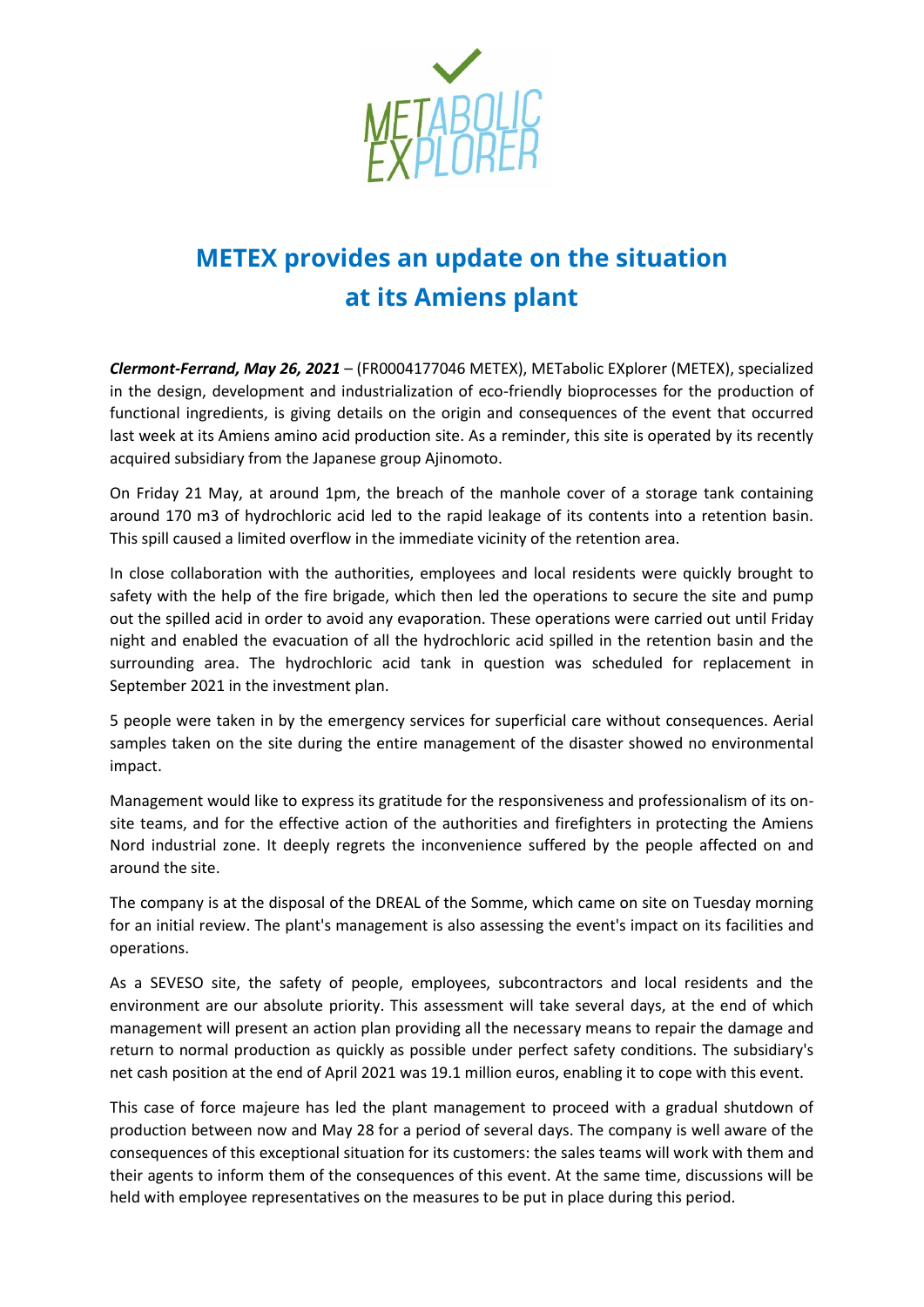

## **METEX provides an update on the situation at its Amiens plant**

*Clermont-Ferrand, May 26, 2021* – (FR0004177046 METEX), METabolic EXplorer (METEX), specialized in the design, development and industrialization of eco-friendly bioprocesses for the production of functional ingredients, is giving details on the origin and consequences of the event that occurred last week at its Amiens amino acid production site. As a reminder, this site is operated by its recently acquired subsidiary from the Japanese group Ajinomoto.

On Friday 21 May, at around 1pm, the breach of the manhole cover of a storage tank containing around 170 m3 of hydrochloric acid led to the rapid leakage of its contents into a retention basin. This spill caused a limited overflow in the immediate vicinity of the retention area.

In close collaboration with the authorities, employees and local residents were quickly brought to safety with the help of the fire brigade, which then led the operations to secure the site and pump out the spilled acid in order to avoid any evaporation. These operations were carried out until Friday night and enabled the evacuation of all the hydrochloric acid spilled in the retention basin and the surrounding area. The hydrochloric acid tank in question was scheduled for replacement in September 2021 in the investment plan.

5 people were taken in by the emergency services for superficial care without consequences. Aerial samples taken on the site during the entire management of the disaster showed no environmental impact.

Management would like to express its gratitude for the responsiveness and professionalism of its onsite teams, and for the effective action of the authorities and firefighters in protecting the Amiens Nord industrial zone. It deeply regrets the inconvenience suffered by the people affected on and around the site.

The company is at the disposal of the DREAL of the Somme, which came on site on Tuesday morning for an initial review. The plant's management is also assessing the event's impact on its facilities and operations.

As a SEVESO site, the safety of people, employees, subcontractors and local residents and the environment are our absolute priority. This assessment will take several days, at the end of which management will present an action plan providing all the necessary means to repair the damage and return to normal production as quickly as possible under perfect safety conditions. The subsidiary's net cash position at the end of April 2021 was 19.1 million euros, enabling it to cope with this event.

This case of force majeure has led the plant management to proceed with a gradual shutdown of production between now and May 28 for a period of several days. The company is well aware of the consequences of this exceptional situation for its customers: the sales teams will work with them and their agents to inform them of the consequences of this event. At the same time, discussions will be held with employee representatives on the measures to be put in place during this period.